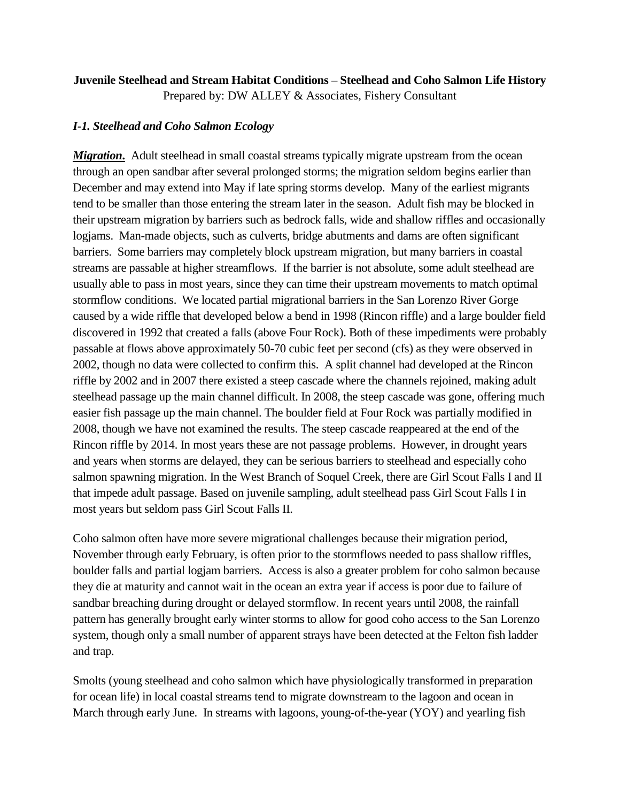## **Juvenile Steelhead and Stream Habitat Conditions – Steelhead and Coho Salmon Life History**

Prepared by: DW ALLEY & Associates, Fishery Consultant

## *I-1. Steelhead and Coho Salmon Ecology*

*Migration*. Adult steelhead in small coastal streams typically migrate upstream from the ocean through an open sandbar after several prolonged storms; the migration seldom begins earlier than December and may extend into May if late spring storms develop. Many of the earliest migrants tend to be smaller than those entering the stream later in the season. Adult fish may be blocked in their upstream migration by barriers such as bedrock falls, wide and shallow riffles and occasionally logjams. Man-made objects, such as culverts, bridge abutments and dams are often significant barriers. Some barriers may completely block upstream migration, but many barriers in coastal streams are passable at higher streamflows. If the barrier is not absolute, some adult steelhead are usually able to pass in most years, since they can time their upstream movements to match optimal stormflow conditions. We located partial migrational barriers in the San Lorenzo River Gorge caused by a wide riffle that developed below a bend in 1998 (Rincon riffle) and a large boulder field discovered in 1992 that created a falls (above Four Rock). Both of these impediments were probably passable at flows above approximately 50-70 cubic feet per second (cfs) as they were observed in 2002, though no data were collected to confirm this. A split channel had developed at the Rincon riffle by 2002 and in 2007 there existed a steep cascade where the channels rejoined, making adult steelhead passage up the main channel difficult. In 2008, the steep cascade was gone, offering much easier fish passage up the main channel. The boulder field at Four Rock was partially modified in 2008, though we have not examined the results. The steep cascade reappeared at the end of the Rincon riffle by 2014. In most years these are not passage problems. However, in drought years and years when storms are delayed, they can be serious barriers to steelhead and especially coho salmon spawning migration. In the West Branch of Soquel Creek, there are Girl Scout Falls I and II that impede adult passage. Based on juvenile sampling, adult steelhead pass Girl Scout Falls I in most years but seldom pass Girl Scout Falls II.

Coho salmon often have more severe migrational challenges because their migration period, November through early February, is often prior to the stormflows needed to pass shallow riffles, boulder falls and partial logjam barriers. Access is also a greater problem for coho salmon because they die at maturity and cannot wait in the ocean an extra year if access is poor due to failure of sandbar breaching during drought or delayed stormflow. In recent years until 2008, the rainfall pattern has generally brought early winter storms to allow for good coho access to the San Lorenzo system, though only a small number of apparent strays have been detected at the Felton fish ladder and trap.

Smolts (young steelhead and coho salmon which have physiologically transformed in preparation for ocean life) in local coastal streams tend to migrate downstream to the lagoon and ocean in March through early June. In streams with lagoons, young-of-the-year (YOY) and yearling fish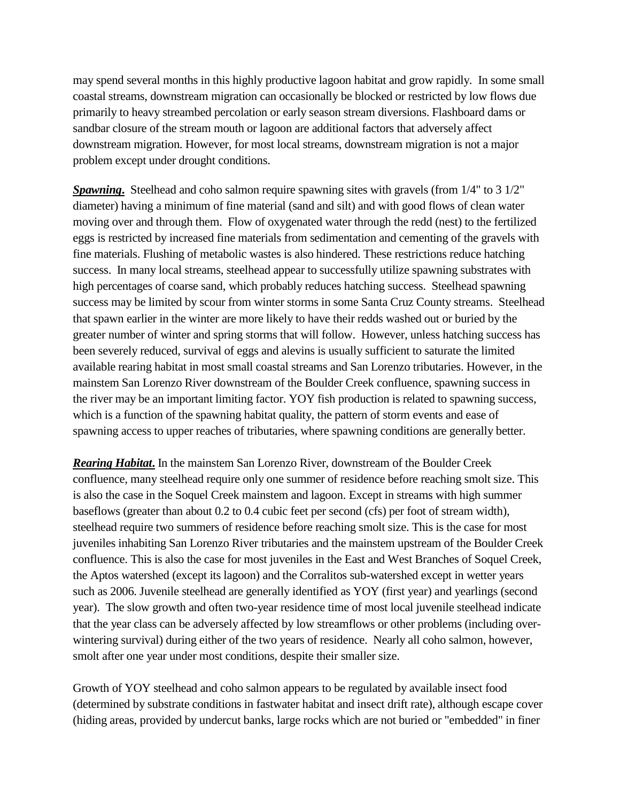may spend several months in this highly productive lagoon habitat and grow rapidly. In some small coastal streams, downstream migration can occasionally be blocked or restricted by low flows due primarily to heavy streambed percolation or early season stream diversions. Flashboard dams or sandbar closure of the stream mouth or lagoon are additional factors that adversely affect downstream migration. However, for most local streams, downstream migration is not a major problem except under drought conditions.

**Spawning.** Steelhead and coho salmon require spawning sites with gravels (from 1/4" to 3 1/2") diameter) having a minimum of fine material (sand and silt) and with good flows of clean water moving over and through them. Flow of oxygenated water through the redd (nest) to the fertilized eggs is restricted by increased fine materials from sedimentation and cementing of the gravels with fine materials. Flushing of metabolic wastes is also hindered. These restrictions reduce hatching success. In many local streams, steelhead appear to successfully utilize spawning substrates with high percentages of coarse sand, which probably reduces hatching success. Steelhead spawning success may be limited by scour from winter storms in some Santa Cruz County streams. Steelhead that spawn earlier in the winter are more likely to have their redds washed out or buried by the greater number of winter and spring storms that will follow. However, unless hatching success has been severely reduced, survival of eggs and alevins is usually sufficient to saturate the limited available rearing habitat in most small coastal streams and San Lorenzo tributaries. However, in the mainstem San Lorenzo River downstream of the Boulder Creek confluence, spawning success in the river may be an important limiting factor. YOY fish production is related to spawning success, which is a function of the spawning habitat quality, the pattern of storm events and ease of spawning access to upper reaches of tributaries, where spawning conditions are generally better.

*Rearing Habitat***.** In the mainstem San Lorenzo River, downstream of the Boulder Creek confluence, many steelhead require only one summer of residence before reaching smolt size. This is also the case in the Soquel Creek mainstem and lagoon. Except in streams with high summer baseflows (greater than about 0.2 to 0.4 cubic feet per second (cfs) per foot of stream width), steelhead require two summers of residence before reaching smolt size. This is the case for most juveniles inhabiting San Lorenzo River tributaries and the mainstem upstream of the Boulder Creek confluence. This is also the case for most juveniles in the East and West Branches of Soquel Creek, the Aptos watershed (except its lagoon) and the Corralitos sub-watershed except in wetter years such as 2006. Juvenile steelhead are generally identified as YOY (first year) and yearlings (second year). The slow growth and often two-year residence time of most local juvenile steelhead indicate that the year class can be adversely affected by low streamflows or other problems (including overwintering survival) during either of the two years of residence. Nearly all coho salmon, however, smolt after one year under most conditions, despite their smaller size.

Growth of YOY steelhead and coho salmon appears to be regulated by available insect food (determined by substrate conditions in fastwater habitat and insect drift rate), although escape cover (hiding areas, provided by undercut banks, large rocks which are not buried or "embedded" in finer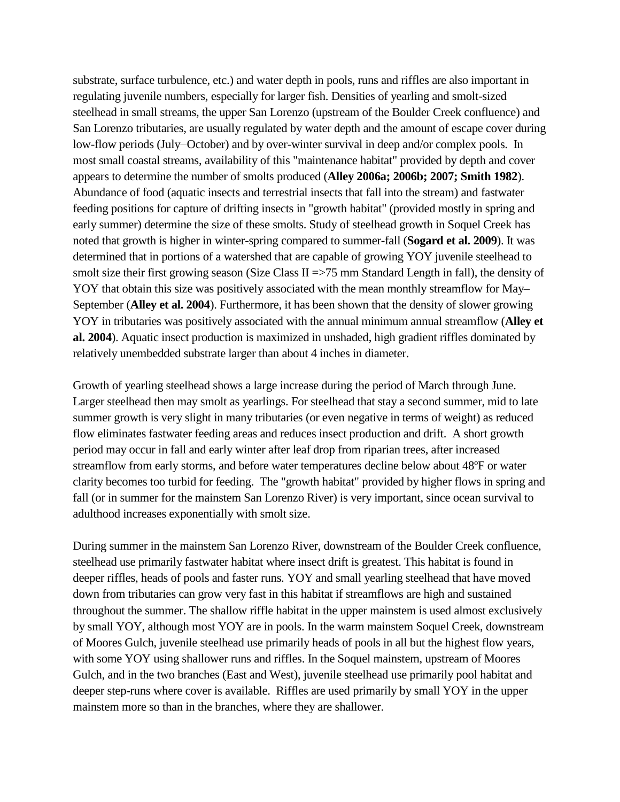substrate, surface turbulence, etc.) and water depth in pools, runs and riffles are also important in regulating juvenile numbers, especially for larger fish. Densities of yearling and smolt-sized steelhead in small streams, the upper San Lorenzo (upstream of the Boulder Creek confluence) and San Lorenzo tributaries, are usually regulated by water depth and the amount of escape cover during low-flow periods (July−October) and by over-winter survival in deep and/or complex pools. In most small coastal streams, availability of this "maintenance habitat" provided by depth and cover appears to determine the number of smolts produced (**Alley 2006a; 2006b; 2007; Smith 1982**). Abundance of food (aquatic insects and terrestrial insects that fall into the stream) and fastwater feeding positions for capture of drifting insects in "growth habitat" (provided mostly in spring and early summer) determine the size of these smolts. Study of steelhead growth in Soquel Creek has noted that growth is higher in winter-spring compared to summer-fall (**Sogard et al. 2009**). It was determined that in portions of a watershed that are capable of growing YOY juvenile steelhead to smolt size their first growing season (Size Class II =>75 mm Standard Length in fall), the density of YOY that obtain this size was positively associated with the mean monthly streamflow for May– September (**Alley et al. 2004**). Furthermore, it has been shown that the density of slower growing YOY in tributaries was positively associated with the annual minimum annual streamflow (**Alley et al. 2004**). Aquatic insect production is maximized in unshaded, high gradient riffles dominated by relatively unembedded substrate larger than about 4 inches in diameter.

Growth of yearling steelhead shows a large increase during the period of March through June. Larger steelhead then may smolt as yearlings. For steelhead that stay a second summer, mid to late summer growth is very slight in many tributaries (or even negative in terms of weight) as reduced flow eliminates fastwater feeding areas and reduces insect production and drift. A short growth period may occur in fall and early winter after leaf drop from riparian trees, after increased streamflow from early storms, and before water temperatures decline below about 48ºF or water clarity becomes too turbid for feeding. The "growth habitat" provided by higher flows in spring and fall (or in summer for the mainstem San Lorenzo River) is very important, since ocean survival to adulthood increases exponentially with smolt size.

During summer in the mainstem San Lorenzo River, downstream of the Boulder Creek confluence, steelhead use primarily fastwater habitat where insect drift is greatest. This habitat is found in deeper riffles, heads of pools and faster runs. YOY and small yearling steelhead that have moved down from tributaries can grow very fast in this habitat if streamflows are high and sustained throughout the summer. The shallow riffle habitat in the upper mainstem is used almost exclusively by small YOY, although most YOY are in pools. In the warm mainstem Soquel Creek, downstream of Moores Gulch, juvenile steelhead use primarily heads of pools in all but the highest flow years, with some YOY using shallower runs and riffles. In the Soquel mainstem, upstream of Moores Gulch, and in the two branches (East and West), juvenile steelhead use primarily pool habitat and deeper step-runs where cover is available. Riffles are used primarily by small YOY in the upper mainstem more so than in the branches, where they are shallower.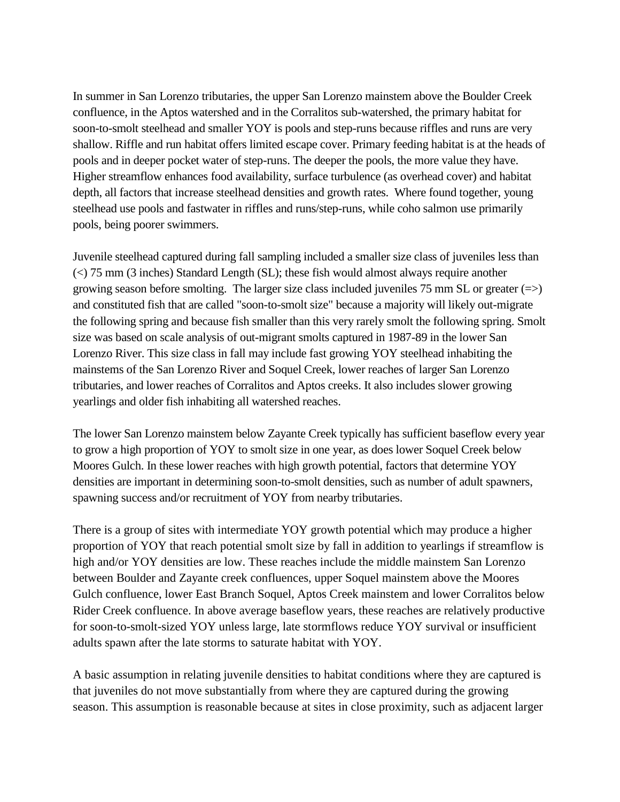In summer in San Lorenzo tributaries, the upper San Lorenzo mainstem above the Boulder Creek confluence, in the Aptos watershed and in the Corralitos sub-watershed, the primary habitat for soon-to-smolt steelhead and smaller YOY is pools and step-runs because riffles and runs are very shallow. Riffle and run habitat offers limited escape cover. Primary feeding habitat is at the heads of pools and in deeper pocket water of step-runs. The deeper the pools, the more value they have. Higher streamflow enhances food availability, surface turbulence (as overhead cover) and habitat depth, all factors that increase steelhead densities and growth rates. Where found together, young steelhead use pools and fastwater in riffles and runs/step-runs, while coho salmon use primarily pools, being poorer swimmers.

Juvenile steelhead captured during fall sampling included a smaller size class of juveniles less than (<) 75 mm (3 inches) Standard Length (SL); these fish would almost always require another growing season before smolting. The larger size class included juveniles 75 mm SL or greater  $(\Rightarrow)$ and constituted fish that are called "soon-to-smolt size" because a majority will likely out-migrate the following spring and because fish smaller than this very rarely smolt the following spring. Smolt size was based on scale analysis of out-migrant smolts captured in 1987-89 in the lower San Lorenzo River. This size class in fall may include fast growing YOY steelhead inhabiting the mainstems of the San Lorenzo River and Soquel Creek, lower reaches of larger San Lorenzo tributaries, and lower reaches of Corralitos and Aptos creeks. It also includes slower growing yearlings and older fish inhabiting all watershed reaches.

The lower San Lorenzo mainstem below Zayante Creek typically has sufficient baseflow every year to grow a high proportion of YOY to smolt size in one year, as does lower Soquel Creek below Moores Gulch. In these lower reaches with high growth potential, factors that determine YOY densities are important in determining soon-to-smolt densities, such as number of adult spawners, spawning success and/or recruitment of YOY from nearby tributaries.

There is a group of sites with intermediate YOY growth potential which may produce a higher proportion of YOY that reach potential smolt size by fall in addition to yearlings if streamflow is high and/or YOY densities are low. These reaches include the middle mainstem San Lorenzo between Boulder and Zayante creek confluences, upper Soquel mainstem above the Moores Gulch confluence, lower East Branch Soquel, Aptos Creek mainstem and lower Corralitos below Rider Creek confluence. In above average baseflow years, these reaches are relatively productive for soon-to-smolt-sized YOY unless large, late stormflows reduce YOY survival or insufficient adults spawn after the late storms to saturate habitat with YOY.

A basic assumption in relating juvenile densities to habitat conditions where they are captured is that juveniles do not move substantially from where they are captured during the growing season. This assumption is reasonable because at sites in close proximity, such as adjacent larger